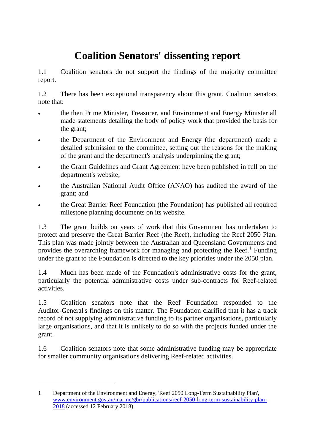## **Coalition Senators' dissenting report**

1.1 Coalition senators do not support the findings of the majority committee report.

1.2 There has been exceptional transparency about this grant. Coalition senators note that:

- the then Prime Minister, Treasurer, and Environment and Energy Minister all made statements detailing the body of policy work that provided the basis for the grant;
- the Department of the Environment and Energy (the department) made a detailed submission to the committee, setting out the reasons for the making of the grant and the department's analysis underpinning the grant;
- the Grant Guidelines and Grant Agreement have been published in full on the department's website;
- the Australian National Audit Office (ANAO) has audited the award of the grant; and
- the Great Barrier Reef Foundation (the Foundation) has published all required milestone planning documents on its website.

1.3 The grant builds on years of work that this Government has undertaken to protect and preserve the Great Barrier Reef (the Reef), including the Reef 2050 Plan. This plan was made jointly between the Australian and Queensland Governments and provides the overarching framework for managing and protecting the Reef.<sup>[1](#page-0-0)</sup> Funding under the grant to the Foundation is directed to the key priorities under the 2050 plan.

1.4 Much has been made of the Foundation's administrative costs for the grant, particularly the potential administrative costs under sub-contracts for Reef-related activities.

1.5 Coalition senators note that the Reef Foundation responded to the Auditor-General's findings on this matter. The Foundation clarified that it has a track record of not supplying administrative funding to its partner organisations, particularly large organisations, and that it is unlikely to do so with the projects funded under the grant.

1.6 Coalition senators note that some administrative funding may be appropriate for smaller community organisations delivering Reef-related activities.

-

<span id="page-0-0"></span><sup>1</sup> Department of the Environment and Energy, 'Reef 2050 Long-Term Sustainability Plan', [www.environment.gov.au/marine/gbr/publications/reef-2050-long-term-sustainability-plan-](http://www.environment.gov.au/marine/gbr/publications/reef-2050-long-term-sustainability-plan-2018)[2018](http://www.environment.gov.au/marine/gbr/publications/reef-2050-long-term-sustainability-plan-2018) (accessed 12 February 2018).